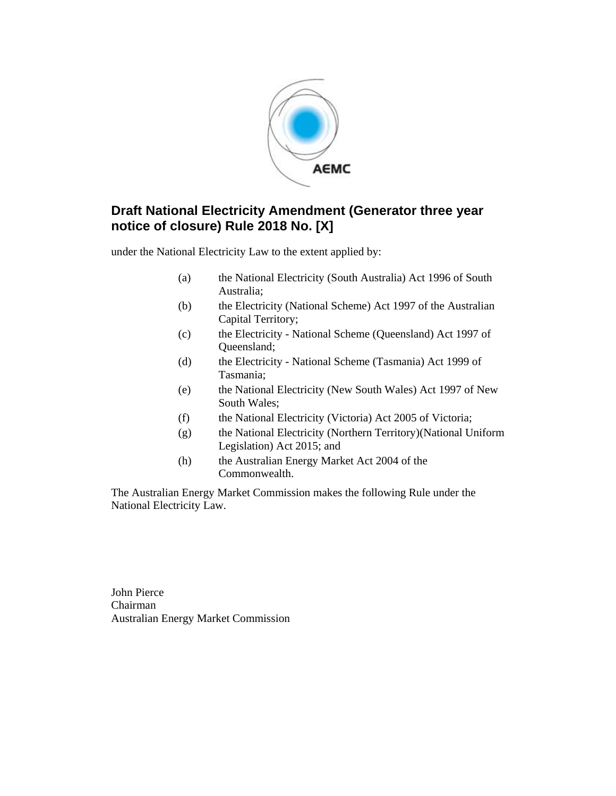

### **Draft National Electricity Amendment (Generator three year notice of closure) Rule 2018 No. [X]**

under the National Electricity Law to the extent applied by:

- (a) the National Electricity (South Australia) Act 1996 of South Australia;
- (b) the Electricity (National Scheme) Act 1997 of the Australian Capital Territory;
- (c) the Electricity National Scheme (Queensland) Act 1997 of Queensland;
- (d) the Electricity National Scheme (Tasmania) Act 1999 of Tasmania;
- (e) the National Electricity (New South Wales) Act 1997 of New South Wales;
- (f) the National Electricity (Victoria) Act 2005 of Victoria;
- (g) the National Electricity (Northern Territory)(National Uniform Legislation) Act 2015; and
- (h) the Australian Energy Market Act 2004 of the Commonwealth.

The Australian Energy Market Commission makes the following Rule under the National Electricity Law.

John Pierce Chairman Australian Energy Market Commission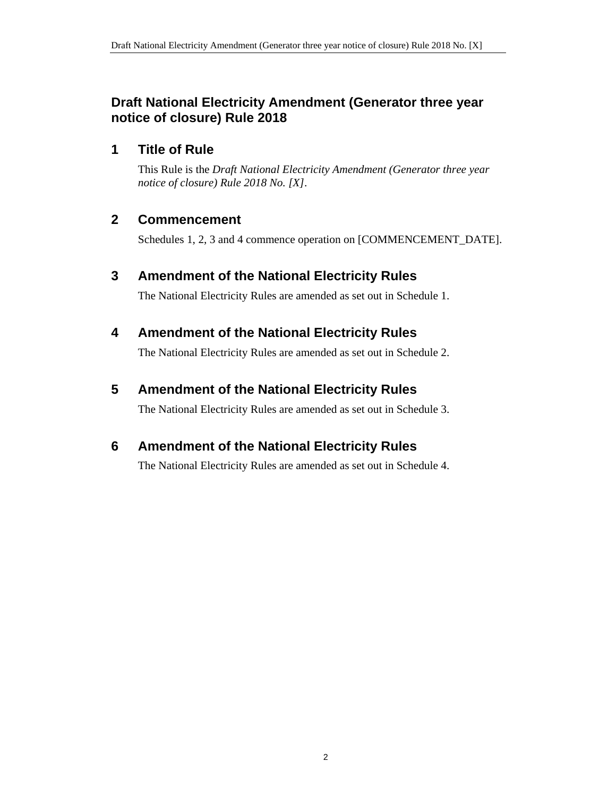## **Draft National Electricity Amendment (Generator three year notice of closure) Rule 2018**

## **1 Title of Rule**

This Rule is the *Draft National Electricity Amendment (Generator three year notice of closure) Rule 2018 No. [X]*.

## **2 Commencement**

Schedules 1, 2, 3 and 4 commence operation on [COMMENCEMENT\_DATE].

## **3 Amendment of the National Electricity Rules**

The National Electricity Rules are amended as set out in Schedule 1.

# **4 Amendment of the National Electricity Rules**

The National Electricity Rules are amended as set out in Schedule 2.

# **5 Amendment of the National Electricity Rules**

The National Electricity Rules are amended as set out in Schedule 3.

# **6 Amendment of the National Electricity Rules**

The National Electricity Rules are amended as set out in Schedule 4.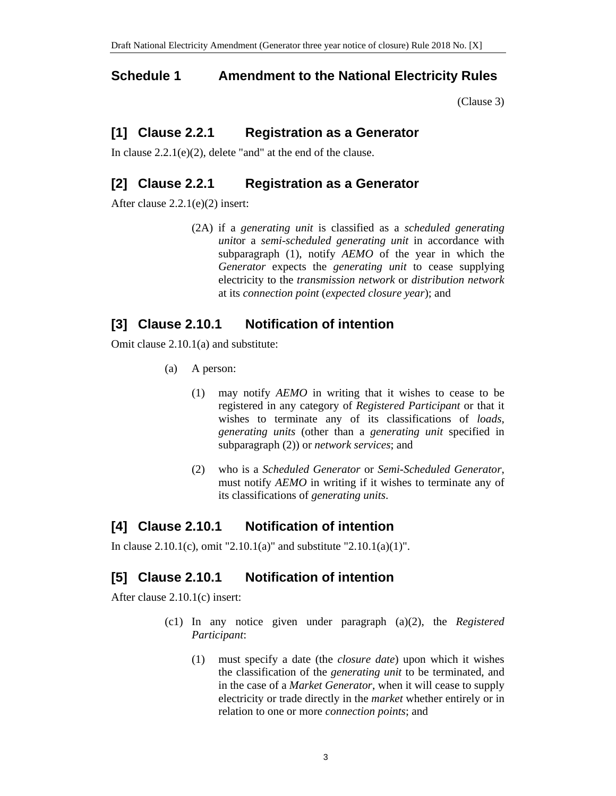#### **Schedule 1 Amendment to the National Electricity Rules**

(Clause 3)

#### **[1] Clause 2.2.1 Registration as a Generator**

In clause 2.2.1(e)(2), delete "and" at the end of the clause.

#### **[2] Clause 2.2.1 Registration as a Generator**

After clause 2.2.1(e)(2) insert:

(2A) if a *generating unit* is classified as a *scheduled generating unit*or a *semi-scheduled generating unit* in accordance with subparagraph (1), notify *AEMO* of the year in which the *Generator* expects the *generating unit* to cease supplying electricity to the *transmission network* or *distribution network* at its *connection point* (*expected closure year*); and

#### **[3] Clause 2.10.1 Notification of intention**

Omit clause 2.10.1(a) and substitute:

- (a) A person:
	- (1) may notify *AEMO* in writing that it wishes to cease to be registered in any category of *Registered Participant* or that it wishes to terminate any of its classifications of *loads*, *generating units* (other than a *generating unit* specified in subparagraph (2)) or *network services*; and
	- (2) who is a *Scheduled Generator* or *Semi-Scheduled Generator*, must notify *AEMO* in writing if it wishes to terminate any of its classifications of *generating units*.

## **[4] Clause 2.10.1 Notification of intention**

In clause  $2.10.1(c)$ , omit " $2.10.1(a)$ " and substitute " $2.10.1(a)(1)$ ".

## **[5] Clause 2.10.1 Notification of intention**

After clause 2.10.1(c) insert:

- (c1) In any notice given under paragraph (a)(2), the *Registered Participant*:
	- (1) must specify a date (the *closure date*) upon which it wishes the classification of the *generating unit* to be terminated, and in the case of a *Market Generator*, when it will cease to supply electricity or trade directly in the *market* whether entirely or in relation to one or more *connection points*; and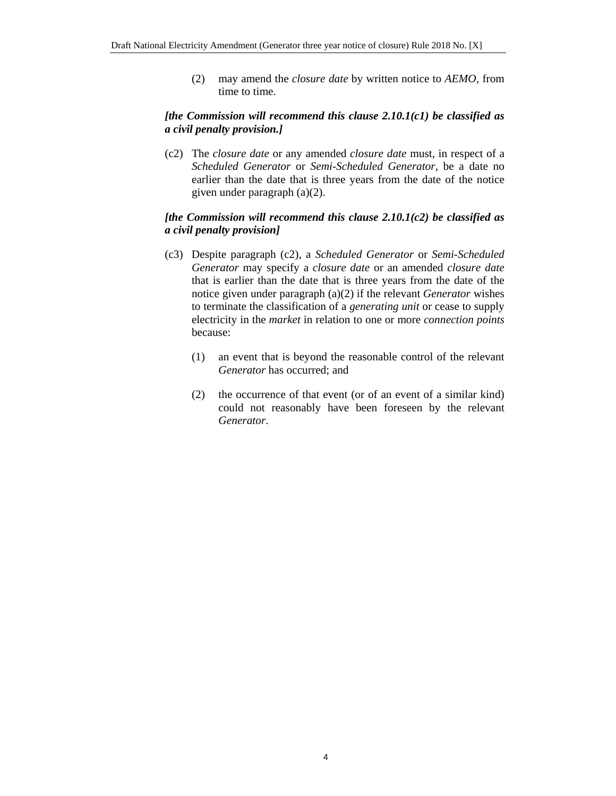(2) may amend the *closure date* by written notice to *AEMO*, from time to time.

#### *[the Commission will recommend this clause 2.10.1(c1) be classified as a civil penalty provision.]*

(c2) The *closure date* or any amended *closure date* must, in respect of a *Scheduled Generator* or *Semi-Scheduled Generator*, be a date no earlier than the date that is three years from the date of the notice given under paragraph (a)(2).

#### *[the Commission will recommend this clause 2.10.1(c2) be classified as a civil penalty provision]*

- (c3) Despite paragraph (c2), a *Scheduled Generator* or *Semi-Scheduled Generator* may specify a *closure date* or an amended *closure date* that is earlier than the date that is three years from the date of the notice given under paragraph (a)(2) if the relevant *Generator* wishes to terminate the classification of a *generating unit* or cease to supply electricity in the *market* in relation to one or more *connection points* because:
	- (1) an event that is beyond the reasonable control of the relevant *Generator* has occurred; and
	- (2) the occurrence of that event (or of an event of a similar kind) could not reasonably have been foreseen by the relevant *Generator*.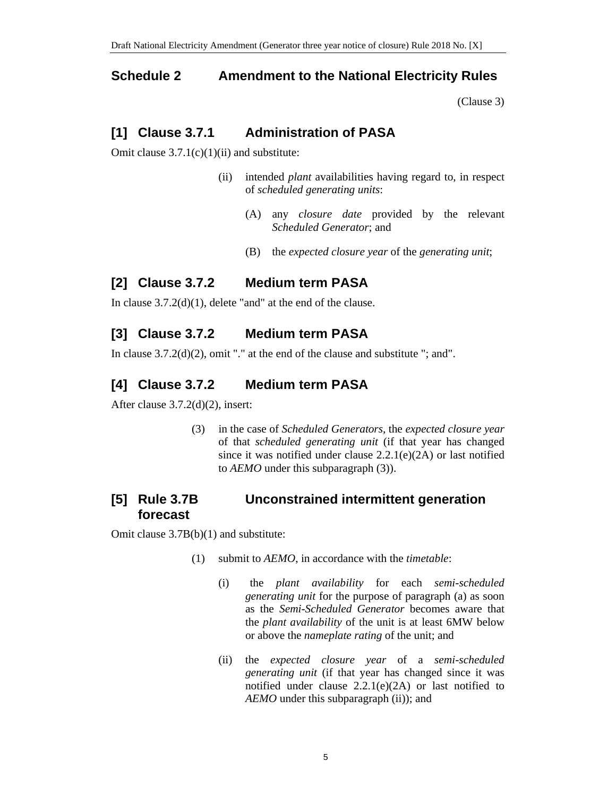#### **Schedule 2 Amendment to the National Electricity Rules**

(Clause 3)

#### **[1] Clause 3.7.1 Administration of PASA**

Omit clause  $3.7.1(c)(1)(ii)$  and substitute:

- (ii) intended *plant* availabilities having regard to, in respect of *scheduled generating units*:
	- (A) any *closure date* provided by the relevant *Scheduled Generator*; and
	- (B) the *expected closure year* of the *generating unit*;

#### **[2] Clause 3.7.2 Medium term PASA**

In clause 3.7.2(d)(1), delete "and" at the end of the clause.

## **[3] Clause 3.7.2 Medium term PASA**

In clause 3.7.2(d)(2), omit "." at the end of the clause and substitute "; and".

## **[4] Clause 3.7.2 Medium term PASA**

After clause 3.7.2(d)(2), insert:

(3) in the case of *Scheduled Generators*, the *expected closure year* of that *scheduled generating unit* (if that year has changed since it was notified under clause  $2.2.1(e)(2A)$  or last notified to *AEMO* under this subparagraph (3)).

## **[5] Rule 3.7B Unconstrained intermittent generation forecast**

Omit clause 3.7B(b)(1) and substitute:

- (1) submit to *AEMO*, in accordance with the *timetable*:
	- (i) the *plant availability* for each *semi-scheduled generating unit* for the purpose of paragraph (a) as soon as the *Semi-Scheduled Generator* becomes aware that the *plant availability* of the unit is at least 6MW below or above the *nameplate rating* of the unit; and
	- (ii) the *expected closure year* of a *semi-scheduled generating unit* (if that year has changed since it was notified under clause  $2.2.1(e)(2A)$  or last notified to *AEMO* under this subparagraph (ii)); and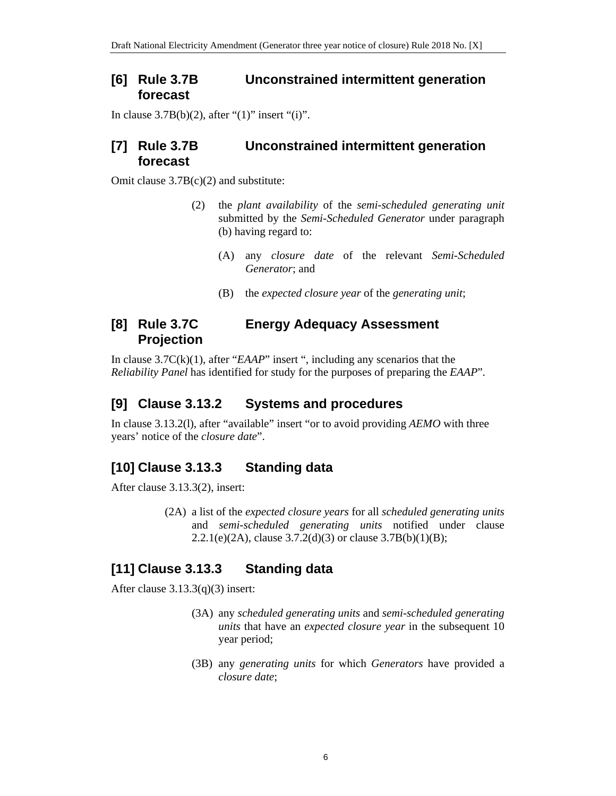#### **[6] Rule 3.7B Unconstrained intermittent generation forecast**

In clause  $3.7B(b)(2)$ , after " $(1)$ " insert " $(i)$ ".

#### **[7] Rule 3.7B Unconstrained intermittent generation forecast**

Omit clause 3.7B(c)(2) and substitute:

- (2) the *plant availability* of the *semi-scheduled generating unit* submitted by the *Semi-Scheduled Generator* under paragraph (b) having regard to:
	- (A) any *closure date* of the relevant *Semi-Scheduled Generator*; and
	- (B) the *expected closure year* of the *generating unit*;

#### **[8] Rule 3.7C Energy Adequacy Assessment Projection**

In clause 3.7C(k)(1), after "*EAAP*" insert ", including any scenarios that the *Reliability Panel* has identified for study for the purposes of preparing the *EAAP*".

# **[9] Clause 3.13.2 Systems and procedures**

In clause 3.13.2(l), after "available" insert "or to avoid providing *AEMO* with three years' notice of the *closure date*".

# **[10] Clause 3.13.3 Standing data**

After clause 3.13.3(2), insert:

(2A) a list of the *expected closure years* for all *scheduled generating units* and *semi-scheduled generating units* notified under clause 2.2.1(e)(2A), clause  $3.7.2(d)(3)$  or clause  $3.7B(b)(1)(B)$ ;

# **[11] Clause 3.13.3 Standing data**

After clause  $3.13.3(q)(3)$  insert:

- (3A) any *scheduled generating units* and *semi-scheduled generating units* that have an *expected closure year* in the subsequent 10 year period;
- (3B) any *generating units* for which *Generators* have provided a *closure date*;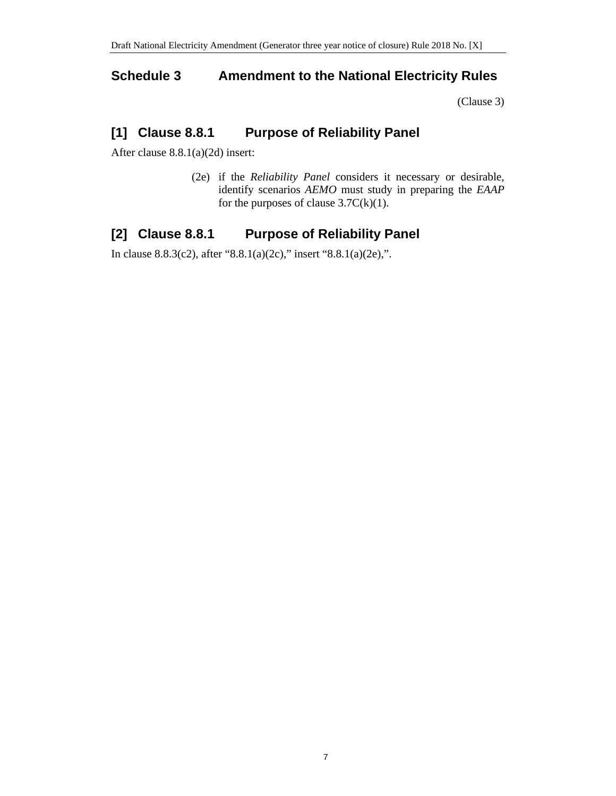#### **Schedule 3 Amendment to the National Electricity Rules**

(Clause 3)

### **[1] Clause 8.8.1 Purpose of Reliability Panel**

After clause 8.8.1(a)(2d) insert:

(2e) if the *Reliability Panel* considers it necessary or desirable, identify scenarios *AEMO* must study in preparing the *EAAP* for the purposes of clause  $3.7C(k)(1)$ .

## **[2] Clause 8.8.1 Purpose of Reliability Panel**

In clause 8.8.3(c2), after "8.8.1(a)(2c)," insert "8.8.1(a)(2e),".